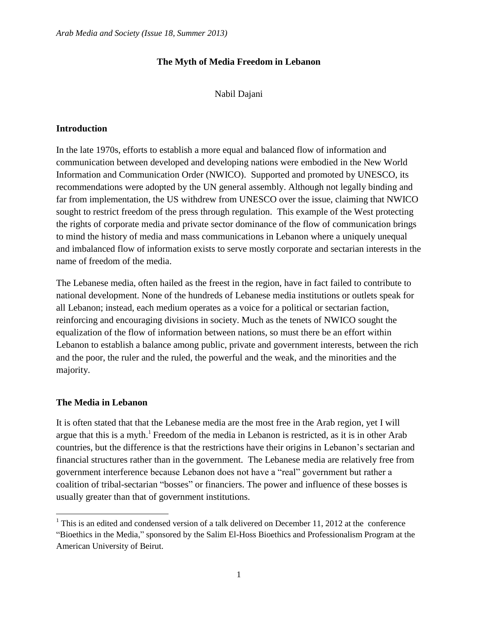## **The Myth of Media Freedom in Lebanon**

## Nabil Dajani

## **Introduction**

In the late 1970s, efforts to establish a more equal and balanced flow of information and communication between developed and developing nations were embodied in the New World Information and Communication Order (NWICO). Supported and promoted by UNESCO, its recommendations were adopted by the UN general assembly. Although not legally binding and far from implementation, the US withdrew from UNESCO over the issue, claiming that NWICO sought to restrict freedom of the press through regulation. This example of the West protecting the rights of corporate media and private sector dominance of the flow of communication brings to mind the history of media and mass communications in Lebanon where a uniquely unequal and imbalanced flow of information exists to serve mostly corporate and sectarian interests in the name of freedom of the media.

The Lebanese media, often hailed as the freest in the region, have in fact failed to contribute to national development. None of the hundreds of Lebanese media institutions or outlets speak for all Lebanon; instead, each medium operates as a voice for a political or sectarian faction, reinforcing and encouraging divisions in society. Much as the tenets of NWICO sought the equalization of the flow of information between nations, so must there be an effort within Lebanon to establish a balance among public, private and government interests, between the rich and the poor, the ruler and the ruled, the powerful and the weak, and the minorities and the majority.

## **The Media in Lebanon**

 $\overline{\phantom{a}}$ 

It is often stated that that the Lebanese media are the most free in the Arab region, yet I will argue that this is a myth.<sup>1</sup> Freedom of the media in Lebanon is restricted, as it is in other Arab countries, but the difference is that the restrictions have their origins in Lebanon's sectarian and financial structures rather than in the government. The Lebanese media are relatively free from government interference because Lebanon does not have a "real" government but rather a coalition of tribal-sectarian "bosses" or financiers. The power and influence of these bosses is usually greater than that of government institutions.

<sup>&</sup>lt;sup>1</sup> This is an edited and condensed version of a talk delivered on December 11, 2012 at the conference "Bioethics in the Media," sponsored by the Salim El-Hoss Bioethics and Professionalism Program at the American University of Beirut.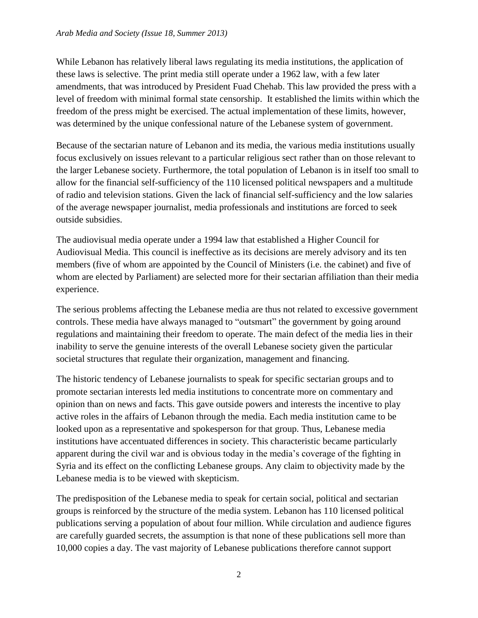While Lebanon has relatively liberal laws regulating its media institutions, the application of these laws is selective. The print media still operate under a 1962 law, with a few later amendments, that was introduced by President Fuad Chehab. This law provided the press with a level of freedom with minimal formal state censorship. It established the limits within which the freedom of the press might be exercised. The actual implementation of these limits, however, was determined by the unique confessional nature of the Lebanese system of government.

Because of the sectarian nature of Lebanon and its media, the various media institutions usually focus exclusively on issues relevant to a particular religious sect rather than on those relevant to the larger Lebanese society. Furthermore, the total population of Lebanon is in itself too small to allow for the financial self-sufficiency of the 110 licensed political newspapers and a multitude of radio and television stations. Given the lack of financial self-sufficiency and the low salaries of the average newspaper journalist, media professionals and institutions are forced to seek outside subsidies.

The audiovisual media operate under a 1994 law that established a Higher Council for Audiovisual Media. This council is ineffective as its decisions are merely advisory and its ten members (five of whom are appointed by the Council of Ministers (i.e. the cabinet) and five of whom are elected by Parliament) are selected more for their sectarian affiliation than their media experience.

The serious problems affecting the Lebanese media are thus not related to excessive government controls. These media have always managed to "outsmart" the government by going around regulations and maintaining their freedom to operate. The main defect of the media lies in their inability to serve the genuine interests of the overall Lebanese society given the particular societal structures that regulate their organization, management and financing.

The historic tendency of Lebanese journalists to speak for specific sectarian groups and to promote sectarian interests led media institutions to concentrate more on commentary and opinion than on news and facts. This gave outside powers and interests the incentive to play active roles in the affairs of Lebanon through the media. Each media institution came to be looked upon as a representative and spokesperson for that group. Thus, Lebanese media institutions have accentuated differences in society. This characteristic became particularly apparent during the civil war and is obvious today in the media's coverage of the fighting in Syria and its effect on the conflicting Lebanese groups. Any claim to objectivity made by the Lebanese media is to be viewed with skepticism.

The predisposition of the Lebanese media to speak for certain social, political and sectarian groups is reinforced by the structure of the media system. Lebanon has 110 licensed political publications serving a population of about four million. While circulation and audience figures are carefully guarded secrets, the assumption is that none of these publications sell more than 10,000 copies a day. The vast majority of Lebanese publications therefore cannot support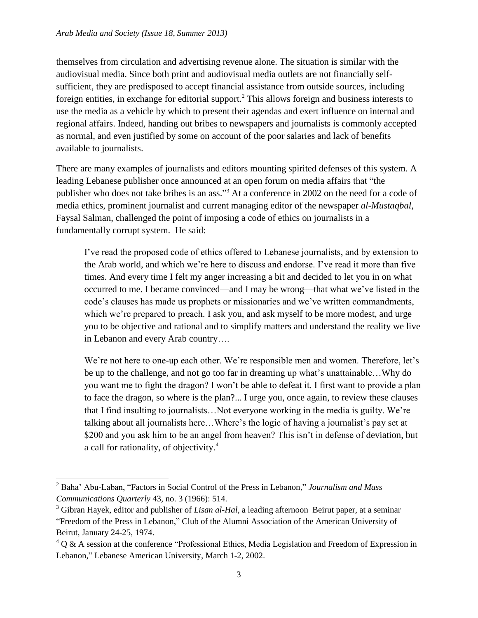themselves from circulation and advertising revenue alone. The situation is similar with the audiovisual media. Since both print and audiovisual media outlets are not financially selfsufficient, they are predisposed to accept financial assistance from outside sources, including foreign entities, in exchange for editorial support.<sup>2</sup> This allows foreign and business interests to use the media as a vehicle by which to present their agendas and exert influence on internal and regional affairs. Indeed, handing out bribes to newspapers and journalists is commonly accepted as normal, and even justified by some on account of the poor salaries and lack of benefits available to journalists.

There are many examples of journalists and editors mounting spirited defenses of this system. A leading Lebanese publisher once announced at an open forum on media affairs that "the publisher who does not take bribes is an ass."<sup>3</sup> At a conference in 2002 on the need for a code of media ethics, prominent journalist and current managing editor of the newspaper *al-Mustaqbal*, Faysal Salman, challenged the point of imposing a code of ethics on journalists in a fundamentally corrupt system. He said:

I've read the proposed code of ethics offered to Lebanese journalists, and by extension to the Arab world, and which we're here to discuss and endorse. I've read it more than five times. And every time I felt my anger increasing a bit and decided to let you in on what occurred to me. I became convinced—and I may be wrong—that what we've listed in the code's clauses has made us prophets or missionaries and we've written commandments, which we're prepared to preach. I ask you, and ask myself to be more modest, and urge you to be objective and rational and to simplify matters and understand the reality we live in Lebanon and every Arab country….

We're not here to one-up each other. We're responsible men and women. Therefore, let's be up to the challenge, and not go too far in dreaming up what's unattainable…Why do you want me to fight the dragon? I won't be able to defeat it. I first want to provide a plan to face the dragon, so where is the plan?... I urge you, once again, to review these clauses that I find insulting to journalists…Not everyone working in the media is guilty. We're talking about all journalists here…Where's the logic of having a journalist's pay set at \$200 and you ask him to be an angel from heaven? This isn't in defense of deviation, but a call for rationality, of objectivity.<sup>4</sup>

 $\overline{\phantom{a}}$ 

<sup>2</sup> Baha' Abu-Laban, "Factors in Social Control of the Press in Lebanon," *Journalism and Mass Communications Quarterly* 43*,* no. 3 (1966): 514.

<sup>&</sup>lt;sup>3</sup> Gibran Hayek, editor and publisher of *Lisan al-Hal*, a leading afternoon Beirut paper, at a seminar "Freedom of the Press in Lebanon," Club of the Alumni Association of the American University of Beirut, January 24-25, 1974.

 $4$  Q & A session at the conference "Professional Ethics, Media Legislation and Freedom of Expression in Lebanon," Lebanese American University, March 1-2, 2002.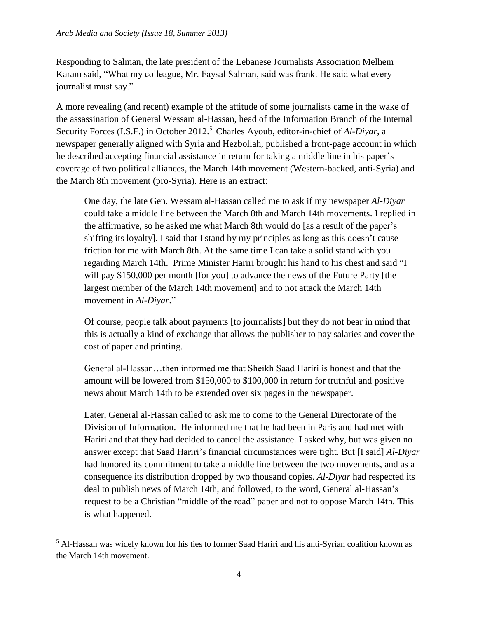Responding to Salman, the late president of the Lebanese Journalists Association Melhem Karam said, "What my colleague, Mr. Faysal Salman, said was frank. He said what every journalist must say."

A more revealing (and recent) example of the attitude of some journalists came in the wake of the assassination of General Wessam al-Hassan, head of the Information Branch of the Internal Security Forces (I.S.F.) in October 2012.<sup>5</sup> Charles Ayoub, editor-in-chief of *Al-Diyar*, a newspaper generally aligned with Syria and Hezbollah, published a front-page account in which he described accepting financial assistance in return for taking a middle line in his paper's coverage of two political alliances, the March 14th movement (Western-backed, anti-Syria) and the March 8th movement (pro-Syria). Here is an extract:

One day, the late Gen. Wessam al-Hassan called me to ask if my newspaper *Al-Diyar* could take a middle line between the March 8th and March 14th movements. I replied in the affirmative, so he asked me what March 8th would do [as a result of the paper's shifting its loyalty]. I said that I stand by my principles as long as this doesn't cause friction for me with March 8th. At the same time I can take a solid stand with you regarding March 14th. Prime Minister Hariri brought his hand to his chest and said "I will pay \$150,000 per month [for you] to advance the news of the Future Party [the largest member of the [March](http://en.wikipedia.org/wiki/March_14_Alliance) 14th movement] and to not attack the March 14th movement in *Al-Diyar*."

Of course, people talk about payments [to journalists] but they do not bear in mind that this is actually a kind of exchange that allows the publisher to pay salaries and cover the cost of paper and printing.

General al-Hassan…then informed me that Sheikh Saad Hariri is honest and that the amount will be lowered from \$150,000 to \$100,000 in return for truthful and positive news about March 14th to be extended over six pages in the newspaper.

Later, General al-Hassan called to ask me to come to the General Directorate of the Division of Information. He informed me that he had been in Paris and had met with Hariri and that they had decided to cancel the assistance. I asked why, but was given no answer except that Saad Hariri's financial circumstances were tight. But [I said] *Al-Diyar* had honored its commitment to take a middle line between the two movements, and as a consequence its distribution dropped by two thousand copies*. Al-Diyar* had respected its deal to publish news of March 14th, and followed, to the word, General al-Hassan's request to be a Christian "middle of the road" paper and not to oppose March 14th. This is what happened.

 $\overline{\phantom{a}}$ 

<sup>5</sup> Al-Hassan was widely known for his ties to former Saad Hariri and his anti-Syrian coalition known as the March 14th movement.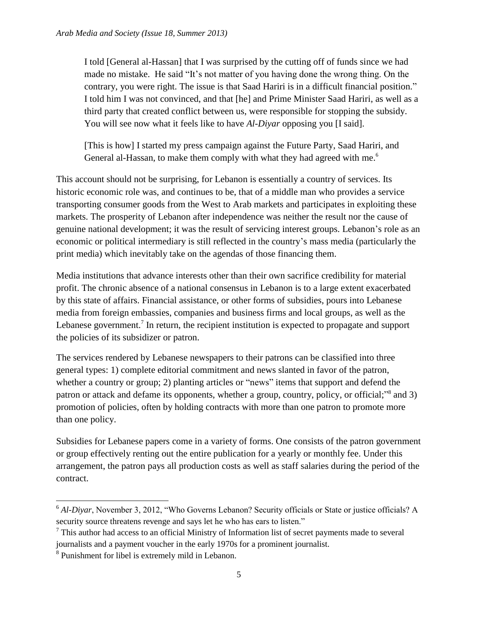I told [General al-Hassan] that I was surprised by the cutting off of funds since we had made no mistake. He said "It's not matter of you having done the wrong thing. On the contrary, you were right. The issue is that Saad Hariri is in a difficult financial position." I told him I was not convinced, and that [he] and Prime Minister Saad Hariri, as well as a third party that created conflict between us, were responsible for stopping the subsidy. You will see now what it feels like to have *Al-Diyar* opposing you [I said].

[This is how] I started my press campaign against the Future Party, Saad Hariri, and General al-Hassan, to make them comply with what they had agreed with me.<sup>6</sup>

This account should not be surprising, for Lebanon is essentially a country of services. Its historic economic role was, and continues to be, that of a middle man who provides a service transporting consumer goods from the West to Arab markets and participates in exploiting these markets. The prosperity of Lebanon after independence was neither the result nor the cause of genuine national development; it was the result of servicing interest groups. Lebanon's role as an economic or political intermediary is still reflected in the country's mass media (particularly the print media) which inevitably take on the agendas of those financing them.

Media institutions that advance interests other than their own sacrifice credibility for material profit. The chronic absence of a national consensus in Lebanon is to a large extent exacerbated by this state of affairs. Financial assistance, or other forms of subsidies, pours into Lebanese media from foreign embassies, companies and business firms and local groups, as well as the Lebanese government.<sup>7</sup> In return, the recipient institution is expected to propagate and support the policies of its subsidizer or patron.

The services rendered by Lebanese newspapers to their patrons can be classified into three general types: 1) complete editorial commitment and news slanted in favor of the patron, whether a country or group; 2) planting articles or "news" items that support and defend the patron or attack and defame its opponents, whether a group, country, policy, or official;<sup>38</sup> and 3) promotion of policies, often by holding contracts with more than one patron to promote more than one policy.

Subsidies for Lebanese papers come in a variety of forms. One consists of the patron government or group effectively renting out the entire publication for a yearly or monthly fee. Under this arrangement, the patron pays all production costs as well as staff salaries during the period of the contract.

l

<sup>&</sup>lt;sup>6</sup> *Al-Divar*, November 3, 2012, "Who Governs Lebanon? Security officials or State or justice officials? A security source threatens revenge and says let he who has ears to listen."

 $<sup>7</sup>$  This author had access to an official Ministry of Information list of secret payments made to several</sup> journalists and a payment voucher in the early 1970s for a prominent journalist.

<sup>&</sup>lt;sup>8</sup> Punishment for libel is extremely mild in Lebanon.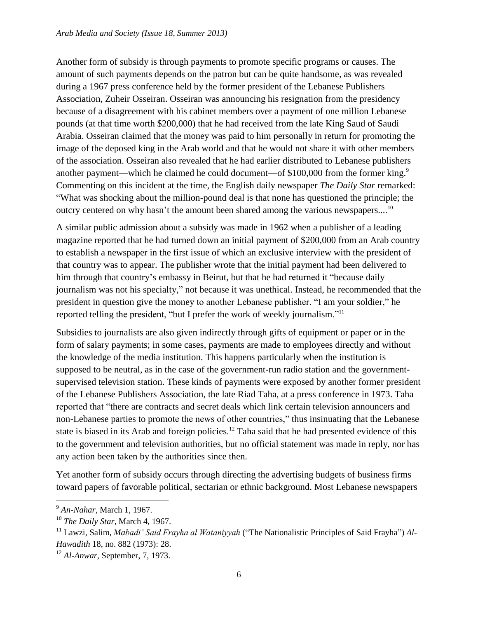Another form of subsidy is through payments to promote specific programs or causes. The amount of such payments depends on the patron but can be quite handsome, as was revealed during a 1967 press conference held by the former president of the Lebanese Publishers Association, Zuheir Osseiran. Osseiran was announcing his resignation from the presidency because of a disagreement with his cabinet members over a payment of one million Lebanese pounds (at that time worth \$200,000) that he had received from the late King Saud of Saudi Arabia. Osseiran claimed that the money was paid to him personally in return for promoting the image of the deposed king in the Arab world and that he would not share it with other members of the association. Osseiran also revealed that he had earlier distributed to Lebanese publishers another payment—which he claimed he could document—of \$100,000 from the former king.<sup>9</sup> Commenting on this incident at the time, the English daily newspaper *The Daily Star* remarked: "What was shocking about the million-pound deal is that none has questioned the principle; the outcry centered on why hasn't the amount been shared among the various newspapers....<sup>10</sup>

A similar public admission about a subsidy was made in 1962 when a publisher of a leading magazine reported that he had turned down an initial payment of \$200,000 from an Arab country to establish a newspaper in the first issue of which an exclusive interview with the president of that country was to appear. The publisher wrote that the initial payment had been delivered to him through that country's embassy in Beirut, but that he had returned it "because daily journalism was not his specialty," not because it was unethical. Instead, he recommended that the president in question give the money to another Lebanese publisher. "I am your soldier," he reported telling the president, "but I prefer the work of weekly journalism."<sup>11</sup>

Subsidies to journalists are also given indirectly through gifts of equipment or paper or in the form of salary payments; in some cases, payments are made to employees directly and without the knowledge of the media institution. This happens particularly when the institution is supposed to be neutral, as in the case of the government-run radio station and the governmentsupervised television station. These kinds of payments were exposed by another former president of the Lebanese Publishers Association, the late Riad Taha, at a press conference in 1973. Taha reported that "there are contracts and secret deals which link certain television announcers and non-Lebanese parties to promote the news of other countries," thus insinuating that the Lebanese state is biased in its Arab and foreign policies.<sup>12</sup> Taha said that he had presented evidence of this to the government and television authorities, but no official statement was made in reply, nor has any action been taken by the authorities since then.

Yet another form of subsidy occurs through directing the advertising budgets of business firms toward papers of favorable political, sectarian or ethnic background. Most Lebanese newspapers

l

<sup>9</sup> *An-Nahar*, March 1, 1967.

<sup>10</sup> *The Daily Star*, March 4, 1967.

<sup>11</sup> Lawzi, Salim, *Mabadi' Said Frayha al Wataniyyah* ("The Nationalistic Principles of Said Frayha") *Al-Hawadith* 18, no. 882 (1973): 28.

<sup>12</sup> *Al-Anwar*, September, 7, 1973.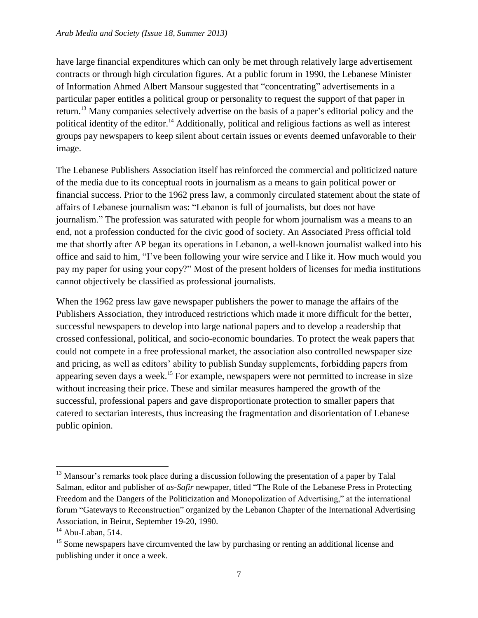have large financial expenditures which can only be met through relatively large advertisement contracts or through high circulation figures. At a public forum in 1990, the Lebanese Minister of Information Ahmed Albert Mansour suggested that "concentrating" advertisements in a particular paper entitles a political group or personality to request the support of that paper in return.<sup>13</sup> Many companies selectively advertise on the basis of a paper's editorial policy and the political identity of the editor.<sup>14</sup> Additionally, political and religious factions as well as interest groups pay newspapers to keep silent about certain issues or events deemed unfavorable to their image.

The Lebanese Publishers Association itself has reinforced the commercial and politicized nature of the media due to its conceptual roots in journalism as a means to gain political power or financial success. Prior to the 1962 press law, a commonly circulated statement about the state of affairs of Lebanese journalism was: "Lebanon is full of journalists, but does not have journalism." The profession was saturated with people for whom journalism was a means to an end, not a profession conducted for the civic good of society. An Associated Press official told me that shortly after AP began its operations in Lebanon, a well-known journalist walked into his office and said to him, "I've been following your wire service and I like it. How much would you pay my paper for using your copy?" Most of the present holders of licenses for media institutions cannot objectively be classified as professional journalists.

When the 1962 press law gave newspaper publishers the power to manage the affairs of the Publishers Association, they introduced restrictions which made it more difficult for the better, successful newspapers to develop into large national papers and to develop a readership that crossed confessional, political, and socio-economic boundaries. To protect the weak papers that could not compete in a free professional market, the association also controlled newspaper size and pricing, as well as editors' ability to publish Sunday supplements, forbidding papers from appearing seven days a week.<sup>15</sup> For example, newspapers were not permitted to increase in size without increasing their price. These and similar measures hampered the growth of the successful, professional papers and gave disproportionate protection to smaller papers that catered to sectarian interests, thus increasing the fragmentation and disorientation of Lebanese public opinion.

 $\overline{\phantom{a}}$ <sup>13</sup> Mansour's remarks took place during a discussion following the presentation of a paper by Talal Salman, editor and publisher of *as-Safir* newpaper, titled "The Role of the Lebanese Press in Protecting Freedom and the Dangers of the Politicization and Monopolization of Advertising," at the international forum "Gateways to Reconstruction" organized by the Lebanon Chapter of the International Advertising Association, in Beirut, September 19-20, 1990.

 $14$  Abu-Laban, 514.

<sup>&</sup>lt;sup>15</sup> Some newspapers have circumvented the law by purchasing or renting an additional license and publishing under it once a week.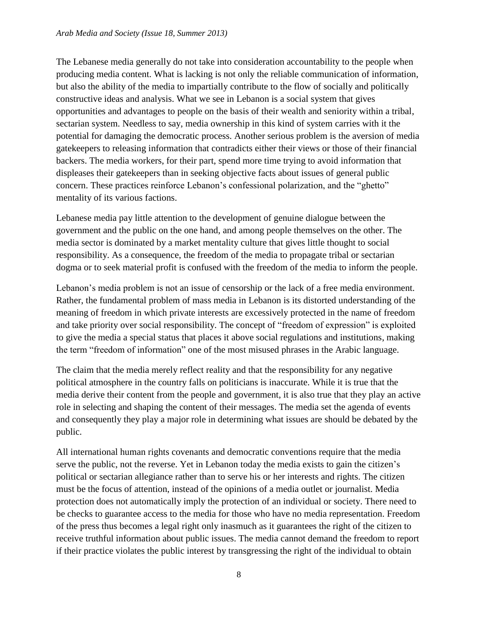The Lebanese media generally do not take into consideration accountability to the people when producing media content. What is lacking is not only the reliable communication of information, but also the ability of the media to impartially contribute to the flow of socially and politically constructive ideas and analysis. What we see in Lebanon is a social system that gives opportunities and advantages to people on the basis of their wealth and seniority within a tribal, sectarian system. Needless to say, media ownership in this kind of system carries with it the potential for damaging the democratic process. Another serious problem is the aversion of media gatekeepers to releasing information that contradicts either their views or those of their financial backers. The media workers, for their part, spend more time trying to avoid information that displeases their gatekeepers than in seeking objective facts about issues of general public concern. These practices reinforce Lebanon's confessional polarization, and the "ghetto" mentality of its various factions.

Lebanese media pay little attention to the development of genuine dialogue between the government and the public on the one hand, and among people themselves on the other. The media sector is dominated by a market mentality culture that gives little thought to social responsibility. As a consequence, the freedom of the media to propagate tribal or sectarian dogma or to seek material profit is confused with the freedom of the media to inform the people.

Lebanon's media problem is not an issue of censorship or the lack of a free media environment. Rather, the fundamental problem of mass media in Lebanon is its distorted understanding of the meaning of freedom in which private interests are excessively protected in the name of freedom and take priority over social responsibility. The concept of "freedom of expression" is exploited to give the media a special status that places it above social regulations and institutions, making the term "freedom of information" one of the most misused phrases in the Arabic language.

The claim that the media merely reflect reality and that the responsibility for any negative political atmosphere in the country falls on politicians is inaccurate. While it is true that the media derive their content from the people and government, it is also true that they play an active role in selecting and shaping the content of their messages. The media set the agenda of events and consequently they play a major role in determining what issues are should be debated by the public.

All international human rights covenants and democratic conventions require that the media serve the public, not the reverse. Yet in Lebanon today the media exists to gain the citizen's political or sectarian allegiance rather than to serve his or her interests and rights. The citizen must be the focus of attention, instead of the opinions of a media outlet or journalist. Media protection does not automatically imply the protection of an individual or society. There need to be checks to guarantee access to the media for those who have no media representation. Freedom of the press thus becomes a legal right only inasmuch as it guarantees the right of the citizen to receive truthful information about public issues. The media cannot demand the freedom to report if their practice violates the public interest by transgressing the right of the individual to obtain